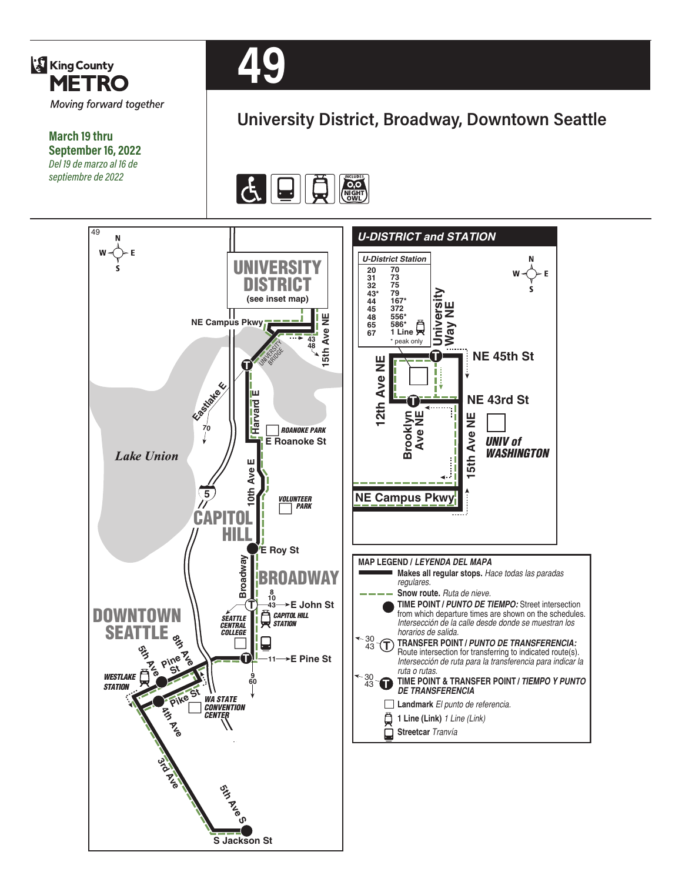

# **University District, Broadway, Downtown Seattle**

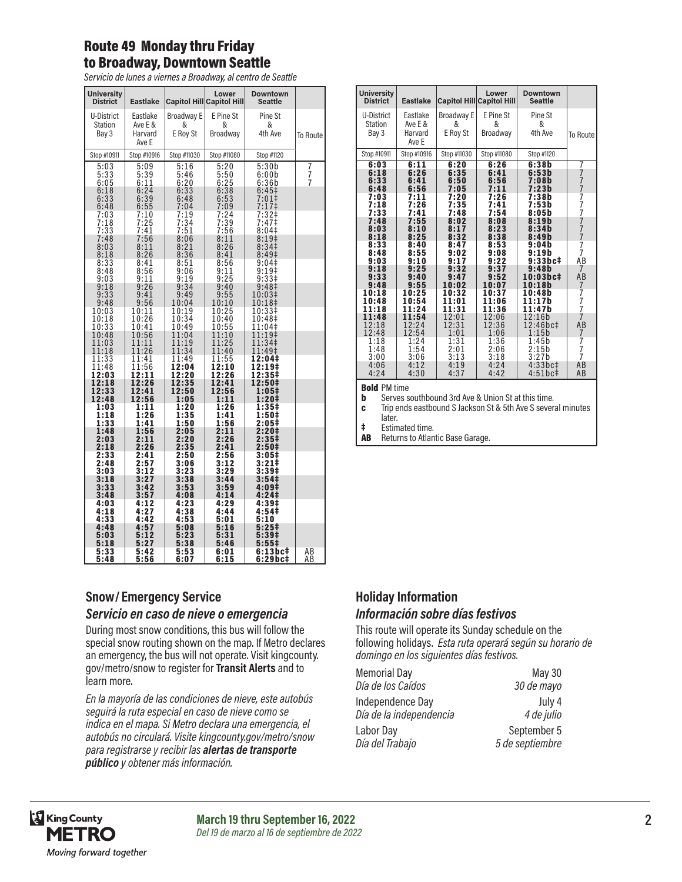# Route 49 Monday thru Friday to Broadway, Downtown Seattle

*Servicio de lunes a viernes a Broadway, al centro de Seattle*

| <b>University</b><br><b>District</b> | <b>Eastlake</b>                         |                              | Lower<br><b>Capitol Hill Capitol Hill</b> | <b>Downtown</b><br><b>Seattle</b>           |             |
|--------------------------------------|-----------------------------------------|------------------------------|-------------------------------------------|---------------------------------------------|-------------|
| U-District<br>Station<br>Bay 3       | Eastlake<br>Ave E &<br>Harvard<br>Ave E | Broadway E<br>&<br>E Roy St  | E Pine St<br>&<br>Broadway                | Pine St<br>&<br>4th Ave                     | To Route    |
| Stop #10911                          | Stop #10916                             | Stop #11030                  | Stop #11080                               | Stop #1120                                  |             |
| 5:03                                 | 5:09                                    | 5:16                         | 5:20                                      | 5:30b                                       | 7<br>7<br>7 |
| 5:33                                 | 5:39                                    | 5:46                         | 5:50                                      | 6:00b                                       |             |
| 6:05                                 | 6:11                                    | 6:20                         | 6:25                                      | 6:36b                                       |             |
| 6:18                                 | 6:24                                    | 6:33                         | 6:38                                      | 6:45‡                                       |             |
| 6:33<br>6:48<br>7:03<br>7:18         | 6:39<br>6:55<br>7:10<br>7:25            | 6:48<br>7:04<br>7:19<br>7:34 | 6:53<br>7:09<br>7:24                      | 7:01‡<br>7:17<br>7:32 <sup>‡</sup><br>7:47‡ |             |
| 7:33                                 | 7:41                                    | 7:51                         | $7:39$<br>7:56                            | 8:04 <sup>‡</sup>                           |             |
| 7:48                                 | 7:56                                    | 8:06                         | 8:11                                      | 8:19 <sup>‡</sup>                           |             |
| 8:03                                 | 8:11                                    | 8:21                         | 8:26                                      | 8:34 <sup>‡</sup>                           |             |
| 8:18                                 | 8:26                                    | 8:36                         | 8:41                                      | 8:49 <sup>‡</sup>                           |             |
| 8:33                                 | 8:41                                    | 8:51                         | 8:56                                      | 9:04‡                                       |             |
| 8:48                                 | 8:56                                    | 9:06                         | 9:11                                      | 9:19 <sup>‡</sup>                           |             |
| 9:03                                 | 9:11                                    | 9:19                         | 9:25                                      | 9:33#                                       |             |
| 9:18                                 | 9:26                                    | 9:34                         | 9:40                                      | 9:48‡                                       |             |
| 9:33                                 | 9:41                                    | 9:49                         | 9:55                                      | 10:03‡                                      |             |
| 9:48                                 | 9:56                                    | 10:04                        | 10:10                                     | 10:18‡                                      |             |
| 10:03                                | 10:11                                   | 10:19                        | 10:25                                     | 10:33‡                                      |             |
| 10:18                                | 10:26                                   | 10:34                        | 10:40                                     | 10:48‡                                      |             |
| 10:33                                | 10:41                                   | 10:49                        | 10:55                                     | 11:04‡                                      |             |
| 10:48                                | 10:56                                   | 11:04                        | 11:10                                     | 11:19‡                                      |             |
| 11:03                                | 11:11                                   | 11:19                        | 11:25                                     | 11:34‡                                      |             |
| 11:18                                | 11:26                                   | 11:34                        | 11:40                                     | 11:49‡                                      |             |
| 11:33                                | 11:41                                   | 11:49                        | 11:55                                     | 12:04‡                                      |             |
| 11:48                                | 11:56                                   | 12:04                        | 12:10                                     | 12:19‡                                      |             |
| 12:03                                | 12:11                                   | 12:20                        | 12:26                                     | 12:35‡                                      |             |
| 12:18                                | 12:26                                   | 12:35                        | 12:41                                     | 12:50‡                                      |             |
| 12:33                                | 12:41                                   | 12:50                        | 12:56                                     | 1:05‡                                       |             |
| 12:48                                | 12:56                                   | 1:05                         | 1:11                                      | 1:20‡                                       |             |
| 1:03                                 | 1:11                                    | 1:20                         | 1:26                                      | 1:35‡                                       |             |
| 1:18                                 | 1:26                                    | 1:35                         | 1:41                                      | 1:50‡                                       |             |
| 1:33                                 | 1:41                                    | 1:50                         | 1:56                                      | 2:05‡                                       |             |
| 1:48                                 | 1:56                                    | 2:05                         | 2:11                                      | 2:20‡                                       |             |
| 2:03                                 | 2:11                                    | 2:20                         | 2:26                                      | 2:35‡                                       |             |
| 2:18                                 | 2:26                                    | 2:35                         | 2:41                                      | 2:50‡                                       |             |
| 2:33                                 | 2:41                                    | 2:50                         | 2:56                                      | 3:05#                                       |             |
| 2:48                                 | 2:57                                    | 3:06                         | 3:12                                      | 3:21‡                                       |             |
| 3:03                                 | 3:12                                    | 3:23                         | 3:29                                      | 3:39‡                                       |             |
| 3:18                                 | 3:27                                    | 3:38                         | 3:44                                      | 3:54‡                                       |             |
| 3:33                                 | 3:42                                    | 3:53                         | 3:59                                      | 4:09‡                                       |             |
| 3:48                                 | 3:57                                    | 4:08                         | 4:14                                      | 4:24 <sup>‡</sup>                           |             |
| 4:03                                 | 4:12                                    | 4:23                         | 4:29                                      | 4:39‡                                       |             |
| 4:18                                 | 4:27                                    | 4:38                         | 4:44                                      | 4:54‡                                       |             |
| 4:33                                 | 4:42                                    | 4:53                         | 5:01                                      | 5:10                                        |             |
| 4:48                                 | 4:57                                    | 5:08                         | 5:16                                      | $5:25+$                                     |             |
| 5:03                                 | 5:12                                    | 5:23                         | 5:31                                      | 5:39 <sup>‡</sup>                           |             |
| 5:18<br>5:33<br>5:48                 | 5:27<br>5:42<br>5:56                    | 5:38<br>5:53<br>6:07         | 5:46<br>6:01<br>6:15                      | $5:55\ddagger$<br>6:13bc‡<br>6:29bc‡        | ΑВ<br>AВ    |

### **Snow/ Emergency Service**  *Servicio en caso de nieve o emergencia*

During most snow conditions, this bus will follow the special snow routing shown on the map. If Metro declares an emergency, the bus will not operate. Visit kingcounty. gov/metro/snow to register for **Transit Alerts** and to learn more.

*En la mayoría de las condiciones de nieve, este autobús seguirá la ruta especial en caso de nieve como se indica en el mapa. Si Metro declara una emergencia, el autobús no circulará. Visite kingcounty.gov/metro/snow para registrarse y recibir las alertas de transporte público y obtener más información.*

| <b>University</b><br><b>District</b>  | <b>Eastlake</b>                         |                             | Lower<br><b>Capitol Hill Capitol Hill</b> | <b>Downtown</b><br><b>Seattle</b> |                                            |
|---------------------------------------|-----------------------------------------|-----------------------------|-------------------------------------------|-----------------------------------|--------------------------------------------|
| U-District<br><b>Station</b><br>Bay 3 | Eastlake<br>Ave E &<br>Harvard<br>Ave E | Broadway E<br>&<br>E Roy St | E Pine St<br>&<br>Broadway                | Pine St<br>&<br>4th Ave           | To Route                                   |
| Stop #10911                           | Stop #10916                             | Stop #11030                 | Stop #11080                               | Stop #1120                        |                                            |
| 6:03                                  | 6:11                                    | 6:20                        | 6:26                                      | 6:38b                             | 7                                          |
| 6:18<br>6:33<br>6:48                  | 6:26<br>6:41<br>6:56                    | 6:35<br>6:50<br>7:05        | 6:41<br>6:56<br>7:11                      | 6:53b<br>7:08b<br>7:23b           | $\overline{7}$<br>$\frac{7}{7}$            |
| 7:03                                  | 7:11                                    | 7:20                        | 7:26                                      | 7:38b                             | $\frac{7}{7}$                              |
| 7:18                                  | 7:26                                    | 7:35                        | 7:41                                      | 7:53b                             |                                            |
| 7:33                                  | 7:41                                    | 7:48                        | 7:54                                      | 8:05b                             |                                            |
| 7:48                                  | 7:55                                    | 8:02                        | 8:08                                      | 8:19b                             | $\begin{array}{c} 7 \\ 7 \\ 7 \end{array}$ |
| 8:03                                  | 8:10                                    | 8:17                        | 8:23                                      | 8:34b                             |                                            |
| 8:18                                  | 8:25                                    | 8:32                        | 8:38                                      | 8:49b                             |                                            |
| 8:33<br>8:48<br>9:03                  | 8:40<br>8:55<br>9:10                    | 8:47<br>9:02<br>9:17        | 8:53<br>9:08<br>9:22                      | 9:04b<br>9:19b<br>9:33bc#         | $\frac{7}{7}$<br>AB                        |
| 9:18                                  | 9:25                                    | 9:32                        | 9:37                                      | 9:48b                             | $\overline{7}$                             |
| 9:33                                  | 9:40                                    | 9:47                        | 9:52                                      | 10:03bc‡                          | AB                                         |
| 9:48                                  | 9:55                                    | 10:02                       | 10:07                                     | 10:18b                            | 7                                          |
| 10:18                                 | 10:25                                   | 10:32                       | 10:37                                     | 10:48b                            | $\begin{array}{c} 7 \\ 7 \\ 7 \end{array}$ |
| 10:48                                 | 10:54                                   | 11:01                       | 11:06                                     | 11:17b                            |                                            |
| 11:18                                 | 11:24                                   | 11:31                       | 11:36                                     | 11:47b                            |                                            |
| 11:48                                 | 11:54                                   | 12:01                       | 12:06                                     | 12:16b                            | 7                                          |
| 12:18                                 | 12:24                                   | 12:31                       | 12:36                                     | 12:46bc‡                          | AB                                         |
| 12:48                                 | 12:54                                   | 1:01                        | 1:06                                      | 1:15b                             | 7                                          |
| 1:18                                  | 1:24                                    | 1:31                        | 1:36                                      | 1:45b                             | 7<br>7<br>7                                |
| 1:48                                  | 1:54                                    | 2:01                        | 2:06                                      | 2:15b                             |                                            |
| 3:00                                  | 3:06                                    | 3:13                        | 3:18                                      | 3:27b                             |                                            |
| 4:06                                  | 4:12                                    | 4:19                        | 4:24                                      | 4:33bc#                           | AB                                         |
| 4:24                                  | 4:30                                    | 4:37                        | 4:42                                      | $4:51bc+$                         | AВ                                         |

**Bold** PM time<br>**b** Serves serves

Serves southbound 3rd Ave & Union St at this time.

c Trip ends eastbound S Jackson St & 5th Ave S several minutes later.

‡ Estimated time.

AB Returns to Atlantic Base Garage.

#### **Holiday Information** *Información sobre días festivos*

This route will operate its Sunday schedule on the following holidays. *Esta ruta operará según su horario de domingo en los siguientes días festivos.*

| <b>Memorial Day</b>     | May 30          |
|-------------------------|-----------------|
| Día de los Caídos       | 30 de mayo      |
| Independence Day        | July 4          |
| Día de la independencia | 4 de julio      |
| Labor Day               | September 5     |
| Día del Trabajo         | 5 de septiembre |

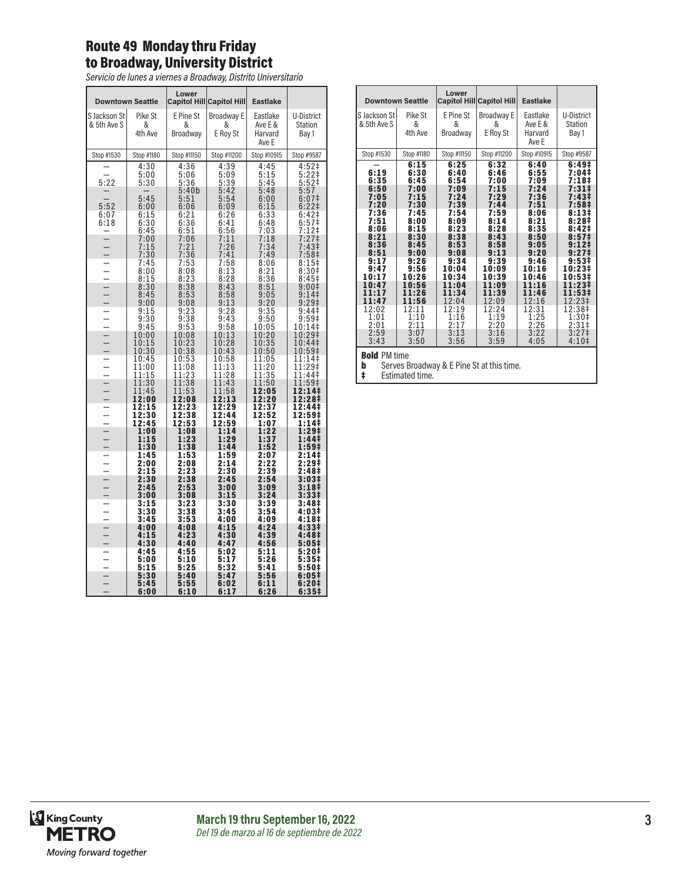# Route 49 Monday thru Friday to Broadway, University District

*Servicio de lunes a viernes a Broadway, Distrito Universitario*

|                             | <b>Downtown Seattle</b>          | Lower                            | <b>Capitol Hill Capitol Hill</b> | <b>Eastlake</b>                         |                                                 |
|-----------------------------|----------------------------------|----------------------------------|----------------------------------|-----------------------------------------|-------------------------------------------------|
| S Jackson St<br>& 5th Ave S | Pike St<br>&<br>4th Ave          | E Pine St<br>&<br>Broadway       | Broadway E<br>&<br>E Roy St      | Eastlake<br>Ave E &<br>Harvard<br>Ave E | U-District<br>Station<br>Bay 1                  |
| Stop #1530                  | Stop #1180                       | Stop #11150                      | Stop #11200                      | Stop #10915                             | Stop #9587                                      |
| 5:22                        | 4:30<br>5:00<br>5:30             | 4:36<br>5:06<br>5:36             | 4:39<br>5:09<br>5:39             | 4:45<br>5:15<br>5:45                    | 4:52‡<br>5:22‡<br>5:52‡                         |
| 5:52<br>6:07                | 5:45<br>6:00<br>6:15             | 5:40b<br>5:51<br>6:06            | 5:42<br>5:54<br>6:09             | 5:48<br>6:00<br>6:15                    | 5:57<br>6:07 <sup>‡</sup><br>$6:22$ ‡<br>6:42‡  |
| 6:18                        | 6:30<br>6:45<br>7:00             | $6:21$<br>$6:36$<br>6:51<br>7:06 | $6:26$<br>$6:41$<br>6:56<br>7:11 | $6:33$<br>$6:48$<br>7:03<br>7:18        | 6:57 <sup>†</sup><br>7:12‡<br>7:27‡             |
|                             | 7:15<br>7:30<br>7:45             | $7:21$<br>$7:36$<br>7:53         | 7:26<br>7:41<br>$7:58$<br>8:13   | 7:34<br>7:49<br>8:06                    | 7:43‡<br>7:58‡<br>8:15                          |
|                             | 8:00<br>8:15<br>8:30<br>8:45     | 8:08<br>8:23<br>8:38<br>8:53     | 8:28<br>8:43<br>8:58             | 8:21<br>8:36<br>8:51<br>9:05            | 8:30#<br>8:45‡<br>9:00‡<br>9:14                 |
|                             | 9:00<br>9:15<br>9:30             | 9:08<br>$9:23$<br>$9:38$         | 9:13<br>$\frac{9:28}{9:43}$      | 9:20<br>$9:35$<br>$9:50$                | 9:29‡<br>9:44 <sup>‡</sup><br>9:59 <sup>‡</sup> |
|                             | 9:45<br>10:00<br>10:15           | 9:53<br>10:08<br>10:23           | 9:58<br>$\frac{10:13}{10:28}$    | 10:05<br>10:20<br>10:35                 | 10:14‡<br>10:29‡<br>10:44‡                      |
|                             | 10:30<br>10:45<br>11:00<br>11:15 | 10:38<br>10:53<br>11:08<br>11:23 | 10:43<br>10:58<br>11:13<br>11:28 | 10:50<br>11:05<br>11:20<br>11:35        | 10:59‡<br>11:14‡<br>11:29‡<br>11:44‡            |
|                             | 11:30<br>11:45<br>12:00          | $\frac{11:38}{11:53}$<br>12:08   | 11:43<br>11:58<br>12:13          | 11:50<br>12:05<br>12:20                 | 11:59‡<br>12:14‡<br>12:28‡                      |
|                             | 12:15<br>12:30                   | 12:23<br>12:38                   | 12:29<br>12:44<br>12:59          | 12:37<br>12:52                          | 12:44‡<br>12:59‡                                |
|                             | 12:45<br>1:00<br>1:15<br>1:30    | 12:53<br>1:08<br>1:23<br>1:38    | 1:14<br>1:29<br>1:44             | 1:07<br>1:22<br>1:37<br>1:52            | 1:14‡<br>1:29‡<br>1:44‡<br>1:59‡                |
|                             | 1:45<br>2:00<br>2:15             | 1:53<br>2:08<br>2:23             | 1:59<br>2:14<br>2:30             | 2:07<br>2:22<br>2:39                    | 2:14‡<br>2:29‡<br>2:48‡                         |
|                             | 2:30<br>2:45<br>3:00             | $2:38$<br>2:53<br>3:08           | 2:45<br>3:00<br>3:15             | 2:54<br>3:09<br>3:24                    | 3:03‡<br>3:18‡<br>3:331                         |
|                             | 3:15<br>3:30<br>3:45             | $3:23$<br>$3:38$<br>3:53         | 3:30<br>3:45<br>4:00             | 3:39<br>3:54<br>4:09                    | 3:48 <sup>‡</sup><br>4:03‡<br>4:18‡             |
|                             | 4:00<br>4:15                     | 4:08<br>4:23                     | 4:15<br>4:30                     | 4:24<br>4:39                            | 4:33‡<br>4:48‡                                  |
|                             | 4:30<br>4:45<br>5:00             | 4:40<br>4:55<br>5:10             | 4:47<br>5:02<br>5:17             | 4:56<br>5:11<br>5:26                    | 5:05‡<br>5:20‡<br>$5:35+$                       |
|                             | 5:15<br>5:30                     | 5:25<br>5:40                     | 5:32<br>5:47                     | 5:41<br>5:56                            | 5:50‡<br>6:05‡                                  |
|                             | 5:45<br>6:00                     | 5:55<br>6:10                     | 6:02<br>6:17                     | 6:11<br>6:26                            | 6:20‡<br>6:35‡                                  |

|                                                                                                                                                                                   | <b>Downtown Seattle</b>                                                                                                                                                                   | Lower                                                                                                                                                                              | <b>Capitol Hill Capitol Hill</b>                                                                                                                                                           | <b>Eastlake</b>                                                                                                                                                                            |                                                                                                                                                                                                                                                                                                                          |  |  |
|-----------------------------------------------------------------------------------------------------------------------------------------------------------------------------------|-------------------------------------------------------------------------------------------------------------------------------------------------------------------------------------------|------------------------------------------------------------------------------------------------------------------------------------------------------------------------------------|--------------------------------------------------------------------------------------------------------------------------------------------------------------------------------------------|--------------------------------------------------------------------------------------------------------------------------------------------------------------------------------------------|--------------------------------------------------------------------------------------------------------------------------------------------------------------------------------------------------------------------------------------------------------------------------------------------------------------------------|--|--|
| S Jackson St<br>& 5th Ave S                                                                                                                                                       | Pike St<br>&<br>4th Ave                                                                                                                                                                   | E Pine St<br>&<br>Broadway                                                                                                                                                         | Broadway E<br>&<br>E Roy St                                                                                                                                                                | Eastlake<br>Ave E &<br>Harvard<br>Ave E                                                                                                                                                    | U-District<br><b>Station</b><br>Bay 1                                                                                                                                                                                                                                                                                    |  |  |
| Stop #1530                                                                                                                                                                        | Stop #1180                                                                                                                                                                                | Stop #11150                                                                                                                                                                        | Stop #11200                                                                                                                                                                                | Stop #10915                                                                                                                                                                                | Stop #9587                                                                                                                                                                                                                                                                                                               |  |  |
| 6:19<br>6:35<br>6:50<br>7:05<br>7:20<br>7:36<br>7:51<br>8:06<br>8:21<br>8:36<br>8:51<br>9:17<br>9:47<br>10:17<br>10:47<br>11:17<br>11:47<br>12:02<br>1:01<br>2:01<br>2:59<br>3:43 | 6:15<br>6:30<br>6:45<br>7:00<br>7:15<br>7:30<br>7:45<br>8:00<br>8:15<br>8:30<br>8:45<br>9:00<br>9:26<br>9:56<br>10:26<br>10:56<br>11:26<br>11:56<br>12:11<br>1:10<br>2:11<br>3:07<br>3:50 | 6:25<br>6:40<br>6:54<br>7:09<br>7:24<br>7:39<br>7:54<br>8:09<br>8:23<br>8:38<br>8:53<br>9:08<br>9:34<br>10:04<br>10:34<br>11:04<br>11:34<br>12:04<br>12:19<br>1:16<br>2:17<br>3:13 | 6:32<br>6:46<br>7:00<br>7:15<br>7:29<br>7:44<br>7:59<br>8:14<br>8:28<br>8:43<br>8:58<br>9:13<br>9:39<br>10:09<br>10:39<br>11:09<br>11:39<br>12:09<br>12:24<br>1:19<br>2:20<br>3:16<br>3:59 | 6:40<br>6:55<br>7:09<br>7:24<br>7:36<br>7:51<br>8:06<br>8:21<br>8:35<br>8:50<br>9:05<br>9:20<br>9:46<br>10:16<br>10:46<br>11:16<br>11:46<br>12:16<br>12:31<br>1:25<br>2:26<br>3:22<br>4:05 | 6:49 <sup>‡</sup><br>7:04‡<br>7:18‡<br>$7:31$ ‡<br>7:43‡<br>7:58‡<br>8:13#<br>8:28‡<br>8:42‡<br>8:57 <sup>‡</sup><br>$9:12 \;$<br>9:27 <sup>‡</sup><br>9:53 <sup>‡</sup><br>10:23‡<br>10:53‡<br>11:23‡<br>11:53‡<br>12:23‡<br>12:38‡<br>1:30 <sup>‡</sup><br>2:31 <sup>‡</sup><br>3:27 <sup>‡</sup><br>4:10 <sup>‡</sup> |  |  |
| 3:56<br><b>Bold PM time</b>                                                                                                                                                       |                                                                                                                                                                                           |                                                                                                                                                                                    |                                                                                                                                                                                            |                                                                                                                                                                                            |                                                                                                                                                                                                                                                                                                                          |  |  |

**b** Serves Broadway & E Pine St at this time.<br> **‡** Estimated time.

Estimated time.

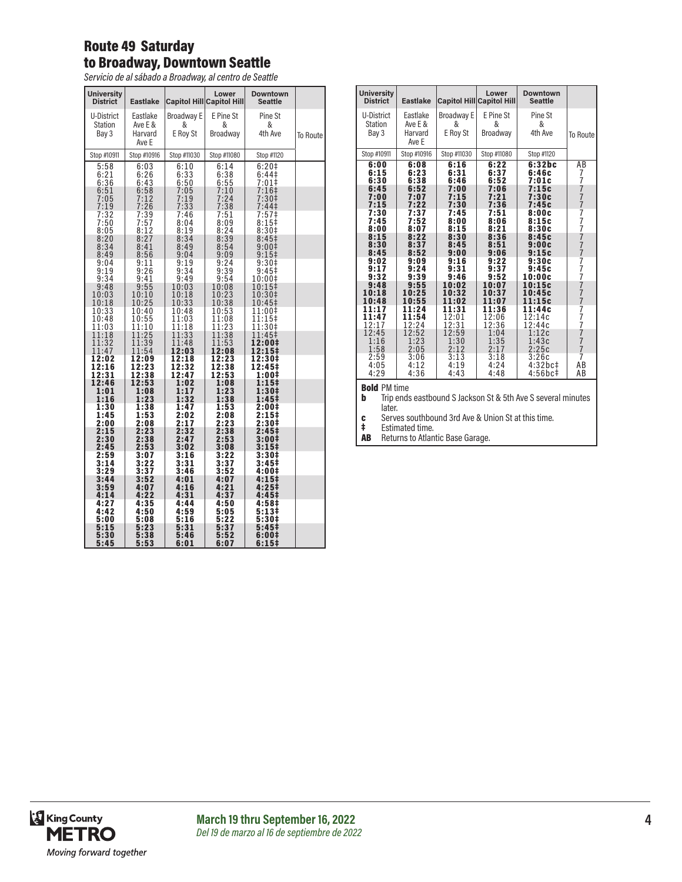# Route 49 Saturday to Broadway, Downtown Seattle

*Servicio de al sábado a Broadway, al centro de Seattle*

| <b>University</b><br><b>District</b>               | <b>Eastlake</b>                                |                                                    | Lower<br><b>Capitol Hill Capitol Hill</b>                 | <b>Downtown</b><br><b>Seattle</b>                                                                   |          |
|----------------------------------------------------|------------------------------------------------|----------------------------------------------------|-----------------------------------------------------------|-----------------------------------------------------------------------------------------------------|----------|
| U-District<br><b>Station</b><br>Bay 3              | Eastlake<br>Ave E &<br>Harvard<br>Ave E        | <b>Broadway E</b><br>&<br>E Roy St                 | E Pine St<br>&<br>Broadway                                | Pine St<br>&<br>4th Ave                                                                             | To Route |
| Stop #10911                                        | Stop #10916                                    | Stop #11030                                        | Stop #11080                                               | Stop #1120                                                                                          |          |
| 5:58<br>6:21<br>6:36<br>6:51<br>7:05<br>7:19       | 6:03<br>6:26<br>6:43<br>6:58<br>7:12<br>7:26   | 6:10<br>6:33<br>6:50<br>7:05<br>7:19<br>7:33       | 6:14<br>6:38<br>6:55<br>7:10<br>7:24<br>7:38              | 6:20 <sup>‡</sup><br>6:44 <sup>‡</sup><br>7:01<br>$7:16+$<br>7:30 <sup>‡</sup><br>7:44 <sup>‡</sup> |          |
| 7:32<br>7:50<br>8:05<br>8:20<br>8:34               | 7:39<br>7:57<br>8:12<br>8:27<br>8:41           | 7:46<br>8:04<br>8:19<br>8:34<br>8:49               | 7:51<br>8:09<br>8:24<br>8:39<br>8:54                      | 7:57 <sup>‡</sup><br>8:15#<br>8:30#<br>8:45 <sup>‡</sup><br>9:00‡                                   |          |
| 8:49<br>9:04<br>9:19<br>9:34<br>9:48               | 8:56<br>9:11<br>9:26<br>9:41<br>9:55           | 9:04<br>9:19<br>9:34<br>9:49<br>10:03              | 9:09<br>9:24<br>9:39<br>9:54<br>10:08                     | $9:15+$<br>9:30 <sup>‡</sup><br>$9:45$ ‡<br>10:00‡<br>10:15‡                                        |          |
| 10:03<br>10:18<br>10:33<br>10:48                   | 10:10<br>10:25<br>10:40<br>10:55<br>11:10      | 10:18<br>10:33<br>10:48<br>11:03                   | 10:23<br>10:38<br>10:53<br>11:08                          | 10:30‡<br>10:45‡<br>11:00‡<br>11:15‡                                                                |          |
| 11:03<br>11:18<br>11:32<br>11:47<br>12:02<br>12:16 | 11:25<br>11:39<br>11:54<br>12:09<br>12:23      | 11:18<br>11:33<br>11:48<br>12:03<br>12:18<br>12:32 | 11:23<br>11:38<br>$\frac{11:53}{12:08}$<br>12:23<br>12:38 | 11:30‡<br>11:45‡<br>12:00‡<br>12:15‡<br>12:30‡<br>12:45‡                                            |          |
| 12:31<br>12:46<br>1:01<br>1:16<br>1:30<br>1:45     | 12:38<br>12:53<br>1:08<br>1:23<br>1:38<br>1:53 | 12:47<br>1:02<br>1:17<br>1:32<br>1:47<br>2:02      | 12:53<br>1:08<br>1:23<br>1:38<br>1:53<br>2:08             | 1:00‡<br>$1:15^{\ddagger}$<br>1:30‡<br>1:45‡<br>2:00‡<br>2:15‡                                      |          |
| 2:00<br>2:15<br>2:30<br>2:45<br>2:59               | 2:08<br>2:23<br>2:38<br>2:53<br>3:07           | 2:17<br>2:32<br>2:47<br>3:02<br>3:16               | 2:23<br>2:38<br>2:53<br>3:08<br>3:22                      | 2:30‡<br>2:45‡<br>3:00‡<br>3:15‡<br>3:30‡                                                           |          |
| 3:14<br>3:29<br>3:44<br>3:59<br>4:14               | 3:22<br>3:37<br>3:52<br>4:07<br>4:22           | 3:31<br>3:46<br>4:01<br>4:16<br>4:31               | 3:37<br>3:52<br>4:07<br>4:21<br>4:37                      | 3:45‡<br>4:00‡<br>4:15‡<br>$4:25+$<br>4:45‡                                                         |          |
| 4:27<br>4:42<br>5:00<br>5:15                       | 4:35<br>4:50<br>5:08<br>5:23<br>5:38           | 4:44<br>4:59<br>5:16<br>5:31<br>5:46               | 4:50<br>5:05<br>5:22<br>5:37                              | 4:58‡<br>5:13‡<br>5:30‡<br>5:45 <sup>‡</sup><br>6:00‡                                               |          |
| 5:30<br>5:45                                       | 5:53                                           | 6:01                                               | 5:52<br>6:07                                              | 6:15‡                                                                                               |          |

| <b>University</b><br><b>District</b>                                                                                                                    | <b>Eastlake</b>                                                                                                                                         |                                                                                                                                                          | Lower<br><b>Capitol Hill Capitol Hill</b>                                                                                                                | <b>Downtown</b><br><b>Seattle</b>                                                                                                                                             |                                                                                    |
|---------------------------------------------------------------------------------------------------------------------------------------------------------|---------------------------------------------------------------------------------------------------------------------------------------------------------|----------------------------------------------------------------------------------------------------------------------------------------------------------|----------------------------------------------------------------------------------------------------------------------------------------------------------|-------------------------------------------------------------------------------------------------------------------------------------------------------------------------------|------------------------------------------------------------------------------------|
| U-District<br><b>Station</b><br>Bay 3                                                                                                                   | Eastlake<br>Ave E &<br>Harvard<br>Ave E                                                                                                                 | Broadway E<br>&<br>E Roy St                                                                                                                              | E Pine St<br>&<br>Broadway                                                                                                                               | Pine St<br>&<br>4th Ave                                                                                                                                                       | To Route                                                                           |
| Stop #10911                                                                                                                                             | Stop #10916                                                                                                                                             | Stop #11030                                                                                                                                              | Stop #11080                                                                                                                                              | Stop #1120                                                                                                                                                                    |                                                                                    |
| 6:00<br>6:15<br>6:30<br>6:45<br>7:00<br>7:15<br>7:30<br>7:45<br>8:00<br>8:15<br>8:30<br>8:45<br>9:02<br>9:17<br>9:32<br>9:48<br>10:18<br>10:48<br>11:17 | 6:08<br>6:23<br>6:38<br>6:52<br>7:07<br>7:22<br>7:37<br>7:52<br>8:07<br>8:22<br>8:37<br>8:52<br>9:09<br>9:24<br>9:39<br>9:55<br>10:25<br>10:55<br>11:24 | 6:16<br>6:31<br>6:46<br>7:00<br>7:15<br>7:30<br>7:45<br>8:00<br>8:15<br>8:30<br>8:45<br>9:00<br>9:16<br>9:31<br>9:46<br>10:02<br>10:32<br>11:02<br>11:31 | 6:22<br>6:37<br>6:52<br>7:06<br>7:21<br>7:36<br>7:51<br>8:06<br>8:21<br>8:36<br>8:51<br>9:06<br>9:22<br>9:37<br>9:52<br>10:07<br>10:37<br>11:07<br>11:36 | 6:32bc<br>6:46c<br>7:01c<br>7:15c<br>7:30c<br>7:45c<br>8:00c<br>8:15c<br>8:30c<br>8:45c<br>9:00c<br>9:15c<br>9:30c<br>9:45c<br>10:00c<br>10:15c<br>10:45c<br>11:15c<br>11:44c | AВ<br>7<br>7<br>ż<br>$777$<br>$77$<br>$7$<br>$7777$<br>$777$<br>7<br>$\frac{7}{7}$ |
| 11:47<br>12:17                                                                                                                                          | 11:54<br>12:24                                                                                                                                          | 12:01<br>12:31                                                                                                                                           | 12:06<br>12:36                                                                                                                                           | 12:14c<br>12:44c                                                                                                                                                              | 7<br>7<br>7<br>7                                                                   |
| 12:45<br>1:16<br>1:58                                                                                                                                   | 12:52<br>1:23<br>2:05                                                                                                                                   | 12:59<br>1:30<br>2:12                                                                                                                                    | 1:04<br>1:35<br>2:17                                                                                                                                     | 1:12c<br>1:43c<br>2:25c                                                                                                                                                       | $\overline{7}$<br>Ż                                                                |
| 2:59<br>4:05<br>4:29                                                                                                                                    | 3:06<br>4:12<br>4:36                                                                                                                                    | 3:13<br>4:19<br>4:43                                                                                                                                     | 3:18<br>4:24<br>4:48                                                                                                                                     | 3:26c<br>4:32bc#<br>4:56bc‡                                                                                                                                                   | 7<br>AB<br>AB                                                                      |

**Bold** PM time<br>**b** Trip end: Trip ends eastbound S Jackson St & 5th Ave S several minutes later.

c Serves southbound 3rd Ave & Union St at this time.

Estimated time.

AB Returns to Atlantic Base Garage.

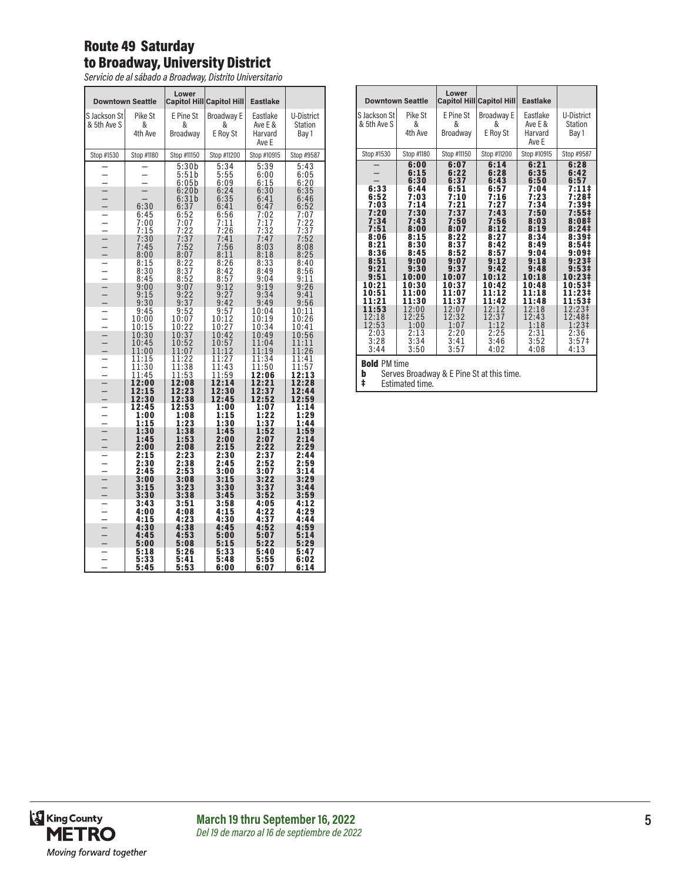# Route 49 Saturday to Broadway, University District

*Servicio de al sábado a Broadway, Distrito Universitario*

|              | <b>Downtown Seattle</b> | Lower            | Capitol Hill Capitol Hill | <b>Eastlake</b>  |                  |
|--------------|-------------------------|------------------|---------------------------|------------------|------------------|
| S Jackson St | Pike St                 | E Pine St        | Broadway E                | Eastlake         | U-District       |
| & 5th Ave S  | &<br>4th Ave            | &<br>Broadway    | &                         | Ave E &          | <b>Station</b>   |
|              |                         |                  | E Roy St                  | Harvard<br>Ave E | Bay 1            |
| Stop #1530   | Stop #1180              | Stop #11150      | Stop #11200               | Stop #10915      | Stop #9587       |
|              |                         | 5:30b            | 5:34                      | 5:39             | 5:43             |
|              |                         | 5:51b<br>6:05b   | 5:55<br>6:09              | 6:00<br>6:15     | 6:05             |
|              |                         | 6:20b            | 6:24                      | 6:30             | $6:20$<br>$6:35$ |
|              |                         | 6:31b            | 6:35                      | 6:41             | 6:46             |
|              | 6:30<br>6:45            | 6:37<br>6:52     | 6:41<br>6:56              | 6:47<br>7:02     | 6:52<br>7:07     |
|              | 7:00                    | $7:07$<br>$7:22$ | 7:11<br>7:26              | 7:17<br>7:32     | 7:22<br>7:37     |
|              | 7:15                    |                  |                           |                  |                  |
|              | 7:30<br>7:45            | 7:37<br>7:52     | 7:41<br>7:56              | 7:47<br>8:03     | 7:52<br>8:08     |
|              | 8:00                    | 8:07             | 8:11                      | 8:18             | 8:25             |
|              | 8:15<br>8:30            | 8:22<br>8:37     | 8:26<br>8:42              | 8:33<br>8:49     | 8:40             |
|              | 8:45                    | 8:52             | 8:57                      | 9:04             | 8:56<br>9:11     |
|              | 9:00                    | 9:07             | 9:12                      | 9:19             | 9:26             |
|              | 9:15<br>9:30            | 9:22<br>9:37     | 9:27<br>9:42              | 9:34<br>9:49     | 9:41<br>9:56     |
|              | 9:45                    | 9:52             | 9:57                      | 10:04            | 10:11            |
|              | 10:00                   | 10:07            | 10:12                     | 10:19            | 10:26            |
|              | 10:15<br>10:30          | 10:22<br>10:37   | 10:27<br>10:42            | 10:34<br>10:49   | 10:41<br>10:56   |
|              | 10:45                   | 10:52            | 10:57                     | 11:04            | 11:11            |
|              | 11:00                   | 11:07            | 11:12                     | 11:19            | 11:26            |
|              | 11:15<br>11:30          | 11:22<br>11:38   | 11:27<br>11:43            | 11:34<br>11:50   | 11:41<br>11:57   |
|              | 11:45                   | 1:53<br>1        | 11:59                     | 12:06            | 12:13            |
|              | 12:00                   | 12:08            | 12:14                     | 12:21            | 12:28            |
|              | 12:15<br>12:30          | 12:23<br>12:38   | 12:30<br>12:45            | 12:37<br>12:52   | 12:44<br>12:59   |
|              | 12:45                   | 12:53            | 1:00                      | 1:07             | 1:14             |
|              | 1:00<br>1:15            | 1:08<br>1:23     | 1:15<br>1:30              | 1:22<br>1:37     | 1:29<br>1:44     |
|              | 1:30                    | 1:38             | 1:45                      | 1:52             | 1:59             |
|              | 1:45                    | 1:53             | 2:00                      | 2:07             | 2:14             |
|              | 2:00<br>2:15            | 2:08<br>2:23     | 2:15<br>2:30              | 2:22<br>2:37     | 2:29<br>2:44     |
|              | 2:30                    | 2:38             | 2:45                      | 2:52             | 2:59             |
|              | 2:45                    | 2:53             | 3:00                      | 3:07             | 3:14             |
|              | 3:00<br>3:15            | 3:08<br>3:23     | 3:15<br>3:30              | 3:22<br>3:37     | 3:29<br>3:44     |
|              | 3:30                    | 3:38             | 3:45                      | 3:52             | 3:59             |
|              | 3:43<br>4:00            | 3:51<br>4:08     | 3:58<br>4:15              | 4:05<br>4:22     | 4:12<br>4:29     |
|              | 4:15                    | 4:23             | 4:30                      | 4:37             | 4:44             |
|              | 4:30                    | 4:38             | 4:45                      | 4:52             | 4:59             |
|              | 4:45<br>5:00            | 4:53<br>5:08     | 5:00<br>5:15              | 5:07<br>5:22     | 5:14<br>5:29     |
|              | 5:18                    | 5:26             | 5:33                      | 5:40             | 5:47             |
|              | 5:33                    | 5:41             | 5:48                      | 5:55             | 6:02             |
|              | 5:45                    | 5:53             | 6:00                      | 6:07             | 6:14             |

| <b>Downtown Seattle</b>                                                                                                                                                    |                                                                                                                                                                                                    | Lower                                                                                                                                                                                              | <b>Capitol Hill Capitol Hill</b>                                                                                                                                                                   | <b>Eastlake</b>                                                                                                                                                                                    |                                                                                                                                                                                                                                      |
|----------------------------------------------------------------------------------------------------------------------------------------------------------------------------|----------------------------------------------------------------------------------------------------------------------------------------------------------------------------------------------------|----------------------------------------------------------------------------------------------------------------------------------------------------------------------------------------------------|----------------------------------------------------------------------------------------------------------------------------------------------------------------------------------------------------|----------------------------------------------------------------------------------------------------------------------------------------------------------------------------------------------------|--------------------------------------------------------------------------------------------------------------------------------------------------------------------------------------------------------------------------------------|
| S Jackson St<br>& 5th Ave S                                                                                                                                                | Pike St<br>&<br>4th Ave                                                                                                                                                                            | E Pine St<br>&<br>Broadway                                                                                                                                                                         | Broadway E<br>&<br>E Roy St                                                                                                                                                                        | Eastlake<br>Ave E &<br>Harvard<br>Ave E                                                                                                                                                            | U-District<br>Station<br>Bay 1                                                                                                                                                                                                       |
| Stop #1530                                                                                                                                                                 | Stop #1180                                                                                                                                                                                         | Stop #11150                                                                                                                                                                                        | Stop #11200                                                                                                                                                                                        | Stop #10915                                                                                                                                                                                        | Stop #9587                                                                                                                                                                                                                           |
| 6:33<br>6:52<br>7:03<br>7:20<br>7:34<br>7:51<br>8:06<br>8:21<br>8:36<br>8:51<br>9:21<br>9:51<br>10:21<br>10:51<br>11:21<br>11:53<br>12:18<br>12:53<br>2:03<br>3:28<br>3:44 | 6:00<br>6:15<br>6:30<br>6:44<br>7:03<br>7:14<br>7:30<br>7:43<br>8:00<br>8:15<br>8:30<br>8:45<br>9:00<br>9:30<br>10:00<br>10:30<br>11:00<br>11:30<br>12:00<br>12:25<br>1:00<br>2:13<br>3:34<br>3:50 | 6:07<br>6:22<br>6:37<br>6:51<br>7:10<br>7:21<br>7:37<br>7:50<br>8:07<br>8:22<br>8:37<br>8:52<br>9:07<br>9:37<br>10:07<br>10:37<br>11:07<br>11:37<br>12:07<br>12:32<br>1:07<br>2:20<br>3:41<br>3:57 | 6:14<br>6:28<br>6:43<br>6:57<br>7:16<br>7:27<br>7:43<br>7:56<br>8:12<br>8:27<br>8:42<br>8:57<br>9:12<br>9:42<br>10:12<br>10:42<br>11:12<br>11:42<br>12:12<br>12:37<br>1:12<br>2:25<br>3:46<br>4:02 | 6:21<br>6:35<br>6:50<br>7:04<br>7:23<br>7:34<br>7:50<br>8:03<br>8:19<br>8:34<br>8:49<br>9:04<br>9:18<br>9:48<br>10:18<br>10:48<br>11:18<br>11:48<br>12:18<br>12:43<br>1:18<br>2:31<br>3:52<br>4:08 | 6:28<br>6:42<br>6:57<br>7:11‡<br>7:28‡<br>7:39‡<br>7:55‡<br>8:08#<br>8:241<br>8:39‡<br>8:54<br>9:09#<br>$9:23 \pm$<br>9:53‡<br>10:231<br>10:53‡<br>11:23‡<br>11:53‡<br>12:23‡<br>12:48‡<br>$1:23+$<br>2:36<br>$3:57\ddagger$<br>4:13 |

**b** Serves Broadway & E Pine St at this time. **b** Serves Broadwa<br> **‡** Estimated time.